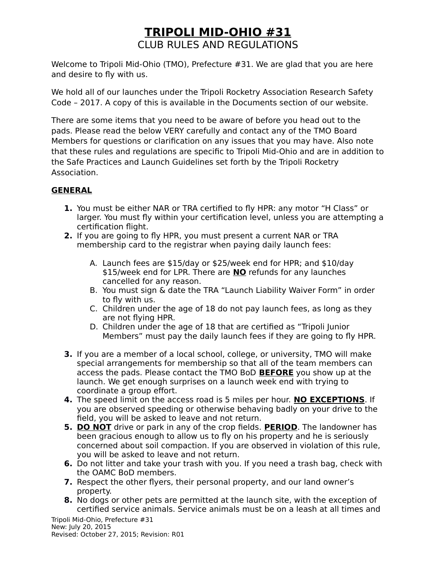Welcome to Tripoli Mid-Ohio (TMO), Prefecture #31. We are glad that you are here and desire to fly with us.

We hold all of our launches under the Tripoli Rocketry Association Research Safety Code – 2017. A copy of this is available in the Documents section of our website.

There are some items that you need to be aware of before you head out to the pads. Please read the below VERY carefully and contact any of the TMO Board Members for questions or clarification on any issues that you may have. Also note that these rules and regulations are specific to Tripoli Mid-Ohio and are in addition to the Safe Practices and Launch Guidelines set forth by the Tripoli Rocketry Association.

### **GENERAL**

- **1.** You must be either NAR or TRA certified to fly HPR: any motor "H Class" or larger. You must fly within your certification level, unless you are attempting a certification flight.
- **2.** If you are going to fly HPR, you must present a current NAR or TRA membership card to the registrar when paying daily launch fees:
	- A. Launch fees are \$15/day or \$25/week end for HPR; and \$10/day \$15/week end for LPR. There are **NO** refunds for any launches cancelled for any reason.
	- B. You must sign & date the TRA "Launch Liability Waiver Form" in order to fly with us.
	- C. Children under the age of 18 do not pay launch fees, as long as they are not flying HPR.
	- D. Children under the age of 18 that are certified as "Tripoli Junior Members" must pay the daily launch fees if they are going to fly HPR.
- **3.** If you are a member of a local school, college, or university, TMO will make special arrangements for membership so that all of the team members can access the pads. Please contact the TMO BoD **BEFORE** you show up at the launch. We get enough surprises on a launch week end with trying to coordinate a group effort.
- **4.** The speed limit on the access road is 5 miles per hour. **NO EXCEPTIONS**. If you are observed speeding or otherwise behaving badly on your drive to the field, you will be asked to leave and not return.
- **5. DO NOT** drive or park in any of the crop fields. **PERIOD**. The landowner has been gracious enough to allow us to fly on his property and he is seriously concerned about soil compaction. If you are observed in violation of this rule, you will be asked to leave and not return.
- **6.** Do not litter and take your trash with you. If you need a trash bag, check with the OAMC BoD members.
- **7.** Respect the other flyers, their personal property, and our land owner's property.
- **8.** No dogs or other pets are permitted at the launch site, with the exception of certified service animals. Service animals must be on a leash at all times and

Tripoli Mid-Ohio, Prefecture #31 New: July 20, 2015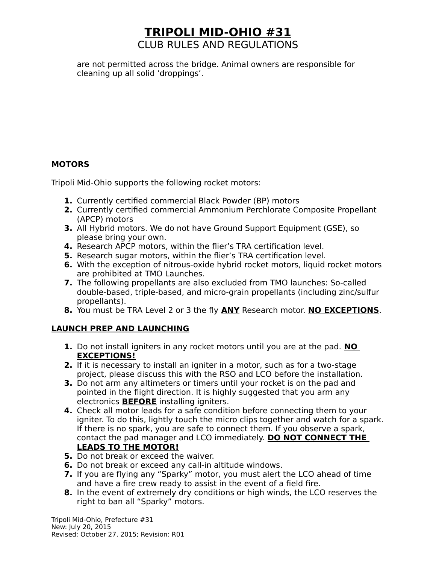are not permitted across the bridge. Animal owners are responsible for cleaning up all solid 'droppings'.

### **MOTORS**

Tripoli Mid-Ohio supports the following rocket motors:

- **1.** Currently certified commercial Black Powder (BP) motors
- **2.** Currently certified commercial Ammonium Perchlorate Composite Propellant (APCP) motors
- **3.** All Hybrid motors. We do not have Ground Support Equipment (GSE), so please bring your own.
- **4.** Research APCP motors, within the flier's TRA certification level.
- **5.** Research sugar motors, within the flier's TRA certification level.
- **6.** With the exception of nitrous-oxide hybrid rocket motors, liquid rocket motors are prohibited at TMO Launches.
- **7.** The following propellants are also excluded from TMO launches: So-called double-based, triple-based, and micro-grain propellants (including zinc/sulfur propellants).
- **8.** You must be TRA Level 2 or 3 the fly **ANY** Research motor. **NO EXCEPTIONS**.

### **LAUNCH PREP AND LAUNCHING**

- **1.** Do not install igniters in any rocket motors until you are at the pad. **NO EXCEPTIONS!**
- **2.** If it is necessary to install an igniter in a motor, such as for a two-stage project, please discuss this with the RSO and LCO before the installation.
- **3.** Do not arm any altimeters or timers until your rocket is on the pad and pointed in the flight direction. It is highly suggested that you arm any electronics **BEFORE** installing igniters.
- **4.** Check all motor leads for a safe condition before connecting them to your igniter. To do this, lightly touch the micro clips together and watch for a spark. If there is no spark, you are safe to connect them. If you observe a spark, contact the pad manager and LCO immediately. **DO NOT CONNECT THE LEADS TO THE MOTOR!**
- **5.** Do not break or exceed the waiver.
- **6.** Do not break or exceed any call-in altitude windows.
- **7.** If you are flying any "Sparky" motor, you must alert the LCO ahead of time and have a fire crew ready to assist in the event of a field fire.
- **8.** In the event of extremely dry conditions or high winds, the LCO reserves the right to ban all "Sparky" motors.

Tripoli Mid-Ohio, Prefecture #31 New: July 20, 2015 Revised: October 27, 2015; Revision: R01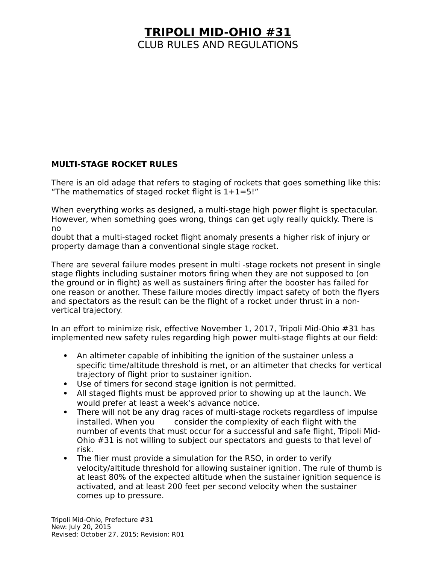#### **MULTI-STAGE ROCKET RULES**

There is an old adage that refers to staging of rockets that goes something like this: "The mathematics of staged rocket flight is  $1+1=5!$ "

When everything works as designed, a multi-stage high power flight is spectacular. However, when something goes wrong, things can get ugly really quickly. There is no

doubt that a multi-staged rocket flight anomaly presents a higher risk of injury or property damage than a conventional single stage rocket.

There are several failure modes present in multi -stage rockets not present in single stage flights including sustainer motors firing when they are not supposed to (on the ground or in flight) as well as sustainers firing after the booster has failed for one reason or another. These failure modes directly impact safety of both the flyers and spectators as the result can be the flight of a rocket under thrust in a nonvertical trajectory.

In an effort to minimize risk, effective November 1, 2017, Tripoli Mid-Ohio #31 has implemented new safety rules regarding high power multi-stage flights at our field:

- An altimeter capable of inhibiting the ignition of the sustainer unless a specific time/altitude threshold is met, or an altimeter that checks for vertical trajectory of flight prior to sustainer ignition.
- Use of timers for second stage ignition is not permitted.
- All staged flights must be approved prior to showing up at the launch. We would prefer at least a week's advance notice.
- There will not be any drag races of multi-stage rockets regardless of impulse installed. When you consider the complexity of each flight with the number of events that must occur for a successful and safe flight, Tripoli Mid-Ohio #31 is not willing to subject our spectators and guests to that level of risk.
- The flier must provide a simulation for the RSO, in order to verify velocity/altitude threshold for allowing sustainer ignition. The rule of thumb is at least 80% of the expected altitude when the sustainer ignition sequence is activated, and at least 200 feet per second velocity when the sustainer comes up to pressure.